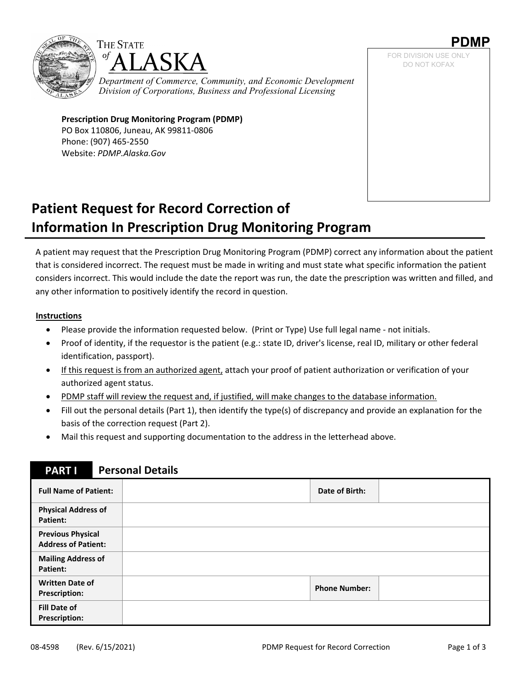



*Department of Commerce, Community, and Economic Development Division of Corporations, Business and Professional Licensing*

**Prescription Drug Monitoring Program (PDMP)** PO Box 110806, Juneau, AK 99811‐0806 Phone: (907) 465‐2550 Website: *PDMP.Alaska.Gov*

**PDMP**  FOR DIVISION USE ONLY DO NOT KOFAX

# **Patient Request for Record Correction of Information In Prescription Drug Monitoring Program**

A patient may request that the Prescription Drug Monitoring Program (PDMP) correct any information about the patient that is considered incorrect. The request must be made in writing and must state what specific information the patient considers incorrect. This would include the date the report was run, the date the prescription was written and filled, and any other information to positively identify the record in question.

#### **Instructions**

- Please provide the information requested below. (Print or Type) Use full legal name ‐ not initials.
- Proof of identity, if the requestor is the patient (e.g.: state ID, driver's license, real ID, military or other federal identification, passport).
- If this request is from an authorized agent, attach your proof of patient authorization or verification of your authorized agent status.
- PDMP staff will review the request and, if justified, will make changes to the database information.
- Fill out the personal details (Part 1), then identify the type(s) of discrepancy and provide an explanation for the basis of the correction request (Part 2).
- Mail this request and supporting documentation to the address in the letterhead above.

### **PART I Personal Details Full Name of Patient: Date of Birth: Physical Address of Patient: Previous Physical Address of Patient: Mailing Address of Patient: Written Date of Prescription: Phone Number: Fill Date of Prescription:**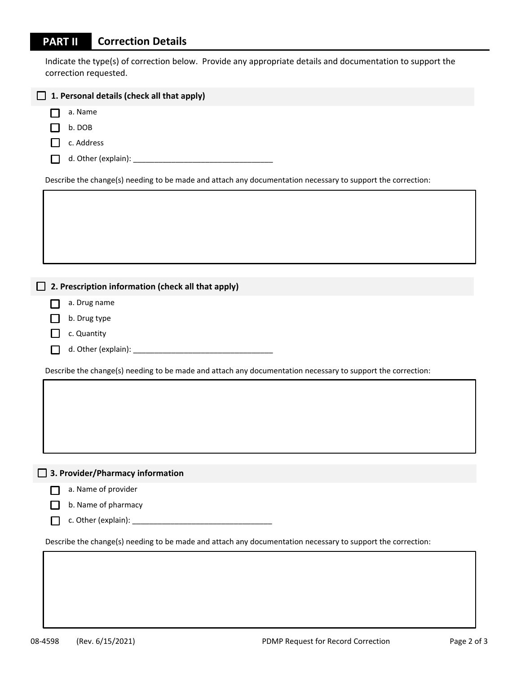### **PART II Correction Details**

Indicate the type(s) of correction below. Provide any appropriate details and documentation to support the correction requested.

| 1. Personal details (check all that apply)                                                                  |  |  |  |  |  |
|-------------------------------------------------------------------------------------------------------------|--|--|--|--|--|
| a. Name                                                                                                     |  |  |  |  |  |
| b. DOB                                                                                                      |  |  |  |  |  |
| c. Address                                                                                                  |  |  |  |  |  |
|                                                                                                             |  |  |  |  |  |
| Describe the change(s) needing to be made and attach any documentation necessary to support the correction: |  |  |  |  |  |
|                                                                                                             |  |  |  |  |  |
|                                                                                                             |  |  |  |  |  |
|                                                                                                             |  |  |  |  |  |
|                                                                                                             |  |  |  |  |  |
| 2. Prescription information (check all that apply)                                                          |  |  |  |  |  |
| a. Drug name                                                                                                |  |  |  |  |  |
| b. Drug type                                                                                                |  |  |  |  |  |
| c. Quantity                                                                                                 |  |  |  |  |  |
|                                                                                                             |  |  |  |  |  |
| Describe the change(s) needing to be made and attach any documentation necessary to support the correction: |  |  |  |  |  |
|                                                                                                             |  |  |  |  |  |
|                                                                                                             |  |  |  |  |  |
|                                                                                                             |  |  |  |  |  |
|                                                                                                             |  |  |  |  |  |
|                                                                                                             |  |  |  |  |  |
| 3. Provider/Pharmacy information<br>$\Box$                                                                  |  |  |  |  |  |
| a. Name of provider                                                                                         |  |  |  |  |  |
| b. Name of pharmacy                                                                                         |  |  |  |  |  |
|                                                                                                             |  |  |  |  |  |
| Describe the change(s) needing to be made and attach any documentation necessary to support the correction: |  |  |  |  |  |
|                                                                                                             |  |  |  |  |  |
|                                                                                                             |  |  |  |  |  |
|                                                                                                             |  |  |  |  |  |
|                                                                                                             |  |  |  |  |  |
|                                                                                                             |  |  |  |  |  |